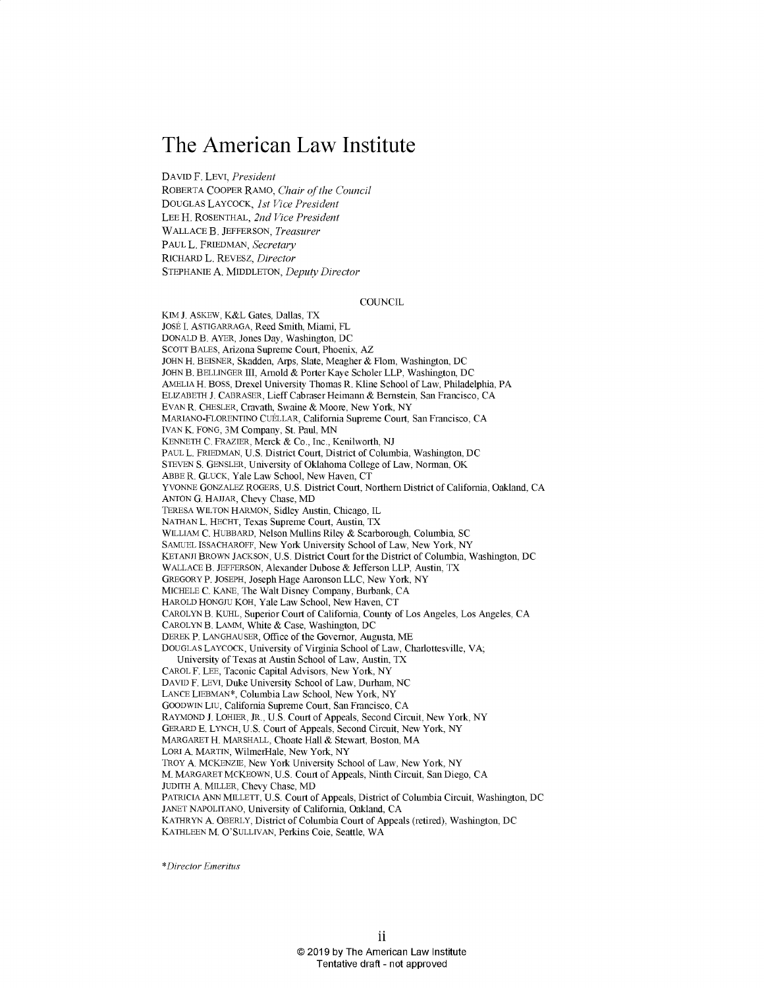# **The American Law Institute**

**DAVID** F. LEVI, *President*

ROBERTA COOPER RAMO, *Chair of the Council* **DOUGLAS** LAYCOCK, *1st Vice President* **LEE** H. **ROSENTHAL,** *2nd Vice President* **WALLACE** B. **JEFFERSON,** *Treasurer* **PAUL** L. FRIEDMAN, *Secretary* RICHARD L. REVESZ, *Director* **STEPHANIE A. MIDDLETON,** *Deputy Director*

#### **COUNCIL**

KIM **J.** ASKEW, K&L Gates, Dallas, TX JOSE **I.** ASTIGARRAGA, Reed Smith, Miami, FL **DONALD** B. AYER, Jones Day, Washington, **DC SCOTT BALES,** Arizona Supreme Court, Phoenix, AZ **JOHN** H. BEISNER, Skadden, Arps, Slate, Meagher **&** Flom, Washington, **DC JOHN** B. BELLINGER III, Arnold **&** Porter Kaye Scholer LLP, Washington, **DC** AMELIA H. **BOSS,** Drexel University Thomas R. Kline School of Law, Philadelphia, PA ELIZABETH **J.** CABRASER, Lieff Cabraser Heimann **&** Bernstein, San Francisco, **CA EVAN** R. CHESLER, Cravath, Swaine **&** Moore, New York, NY MARIANO-FLORENTINO CUELLAR, California Supreme Court, San Francisco, **CA IVAN** K. **FONG,** 3M Company, St. *Paul,* **MN KENNETH C.** FRAZIER, Merck **&** Co., Inc., Kenilworth, **NJ PAUL** L. FRIEDMAN, **U.S.** District Court, District of Columbia, Washington, **DC STEVEN S. GENSLER,** University of Oklahoma College of Law, Norman, OK ABBE R. **GLUCK,** Yale Law School, New Haven, **CT YVONNE GONZALEZ** ROGERS, **U.S.** District Court, Northern District of California, Oakland, **CA ANTON G. HAJJAR,** Chevy Chase, MD TERESA WILTON HARMON, **Sidley** Austin, Chicago, IL **NATHAN** L. **HECHT,** Texas Supreme Court, Austin, TX WILLIAM **C.** HUBBARD, Nelson Mullins Riley **&** Scarborough, Columbia, **SC SAMUEL ISSACHAROFF,** New York University School of Law, New York, NY KETANJI BROWN **JACKSON, U.S.** District Court for the District of Columbia, Washington, **DC WALLACE** B. **JEFFERSON,** Alexander Dubose **&** Jefferson LLP, Austin, TX GREGORY P. **JOSEPH,** Joseph Hage Aaronson **LLC,** New York, NY MICHELE **C. KANE, The** Walt Disney Company, Burbank, **CA** HAROLD **HONGJU** KOH, Yale Law School, New Haven, **CT** CAROLYN B. **KUHL,** Superior Court of California, County of Los Angeles, Los Angeles, **CA** CAROLYN B. **LAMM,** White **&** Case, Washington, **DC** DEREK P. **LANGHAUSER,** Office of the Governor, Augusta, ME **DOUGLAS** LAYCOCK, University of Virginia School of Law, Charlottesville, VA; University of Texas at Austin School of Law, Austin, TX CAROL F. **LEE,** Taconic Capital Advisors, New York, NY DAVID F. LEVI, Duke University School of Law, Durham, **NC LANCE** LIEBMAN\*, Columbia Law School, New York, NY GOODWIN LIU, California Supreme Court, San Francisco, **CA** RAYMOND **J.** LOHIER, JR., **U.S.** Court of Appeals, Second Circuit, New York, NY GERARD **E. LYNCH, U.S.** Court of Appeals, Second Circuit, New York, NY MARGARET H. MARSHALL, Choate Hall **&** Stewart, Boston, MA LORI **A.** MARTIN, WilmerHale, New York, NY TROY **A.** MCKENZIE, New York University School of Law, New York, NY M. MARGARET MCKEOWN, **U.S.** Court of Appeals, Ninth Circuit, San Diego, **CA** JUDITH **A.** MILLER, Chevy Chase, MD PATRICIA **ANN** MILLETT, **U.S.** Court of Appeals, District of Columbia Circuit, Washington, **DC JANET** NAPOLITANO, University of California, Oakland, **CA** KATHRYN **A.** OBERLY, District of Columbia Court of Appeals (retired), Washington, **DC KATHLEEN** M. **O'SULLIVAN,** Perkins Coie, Seattle, WA

*\*Director Emeritus*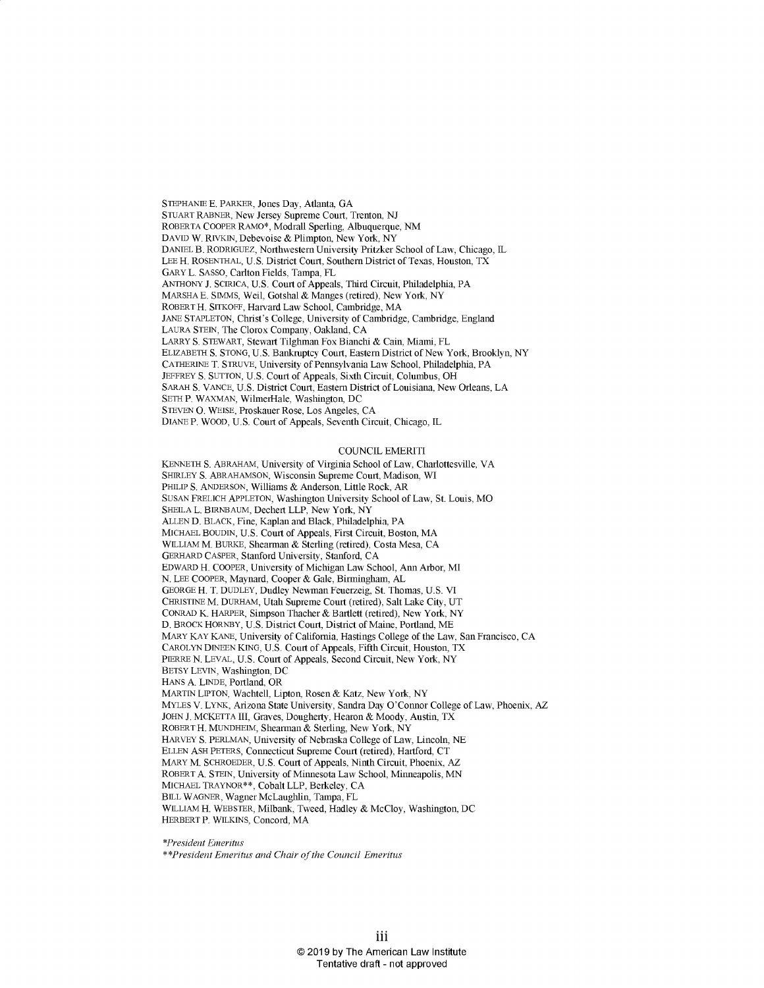**STEPHANIE E.** PARKER, Jones Day, Atlanta, **GA STUART** RABNER, New Jersey Supreme Court, Trenton, **NJ** ROBERTA COOPER RAMO\*, Modrall Sperling, Albuquerque, **NM** DAVID W. RIVKIN, Debevoise **&** Plimpton, New York, NY DANIEL B. RODRIGUEZ, Northwestern University Pritzker School of Law, Chicago, IL **LEE** H. **ROSENTHAL, U.S.** District Court, Southern District of Texas, Houston, TX GARY L. **SASSO,** Carlton Fields, Tampa, FL **ANTHONY J.** SCIRICA, **U.S.** Court of Appeals, Third Circuit, Philadelphia, PA MARSHA **E. SIMMS,** Weil, Gotshal **&** Manges (retired), New York, NY ROBERT H. SITKOFF, Harvard Law School, Cambridge, MA **JANE STAPLETON,** Christ's College, University of Cambridge, Cambridge, England **LAURA STEIN,** The Clorox Company, Oakland, **CA** LARRY **S.** STEWART, Stewart Tilghman Fox Bianchi **&** Cain, Miami, FL ELIZABETH **S. STONG, U.S.** Bankruptcy Court, Eastern District of New York, Brooklyn, NY CATHERINE T. **STRUVE,** University of Pennsylvania Law School, Philadelphia, PA JEFFREY **S. SUTTON, U.S.** Court of Appeals, Sixth Circuit, Columbus, OH SARAH **S. VANCE, U.S.** District Court, Eastern District of Louisiana, New Orleans, **LA SETH** P. WAXMAN, WilmerHale, Washington, **DC STEVEN 0.** WEISE, Proskauer Rose, Los Angeles, **CA** DIANE P. WOOD, **U.S.** Court of Appeals, Seventh Circuit, Chicago, IL

#### **COUNCIL** EMERITI

**KENNETH S.** ABRAHAM, University of Virginia School of Law, Charlottesville, VA SHIRLEY **S.** ABRAHAMSON, Wisconsin Supreme Court, Madison, WI PHILIP **S. ANDERSON,** Williams **&** Anderson, Little Rock, AR **SUSAN** FRELICH **APPLETON,** Washington University School of Law, St. Louis, MO SHEILA L. BIRNBAUM, Dechert LLP, New York, NY **ALLEN D.** BLACK, Fine, Kaplan and Black, Philadelphia, PA MICHAEL BOUDIN, **U.S.** Court of Appeals, First Circuit, Boston, MA WILLIAM M. BURKE, Shearman **&** Sterling (retired), Costa Mesa, **CA** GERHARD CASPER, Stanford University, Stanford, **CA** EDWARD H. COOPER, University of Michigan Law School, Ann Arbor, MI **N. LEE** COOPER, Maynard, Cooper **&** Gale, Birmingham, **AL GEORGE** H. T. **DUDLEY,** Dudley Newman Feuerzeig, St. Thomas, **U.S.** VI CHRISTINE M. DURHAM, Utah Supreme Court (retired), Salt Lake City, **UT CONRAD** K. HARPER, Simpson Thacher **&** Bartlett (retired), New York, NY **D.** BROCK HORNBY, **U.S.** District Court, District of Maine, Portland, ME MARY KAY **KANE,** University of California, Hastings College of the Law, San Francisco, **CA** CAROLYN **DINEEN** KING, **U.S.** Court of Appeals, Fifth Circuit, Houston, TX PIERRE **N.** LEVAL, **U.S.** Court of Appeals, Second Circuit, New York, NY BETSY LEVIN, Washington, **DC HANS A. LINDE,** Portland, OR MARTIN **LIPTON,** Wachtell, Lipton, Rosen **&** Katz, New York, NY MYLES V. LYNK, Arizona State University, Sandra Day O'Connor College of Law, Phoenix, AZ **JOHN J.** MCKETTA III, Graves, Dougherty, Hearon **&** Moody, Austin, TX ROBERT H. MUNDHEIM, Shearman **&** Sterling, New York, NY HARVEY **S.** PERLMAN, University of Nebraska College of Law, Lincoln, **NE ELLEN ASH** PETERS, Connecticut Supreme Court (retired), Hartford, **CT** MARY M. SCHROEDER, **U.S.** Court of Appeals, Ninth Circuit, Phoenix, AZ ROBERT **A.** STEIN, University of Minnesota Law School, Minneapolis, **MN** MICHAEL TRAYNOR\*\*, Cobalt LLP, Berkeley, **CA** BILL WAGNER, Wagner McLaughlin, Tampa, FL WILLIAM H. WEBSTER, Milbank, Tweed, Hadley **&** McCloy, Washington, **DC** HERBERT P. WILKINS, Concord, MA

*\*President Emeritus*

\*\*President *Emeritus and Chair of the Council Emeritus*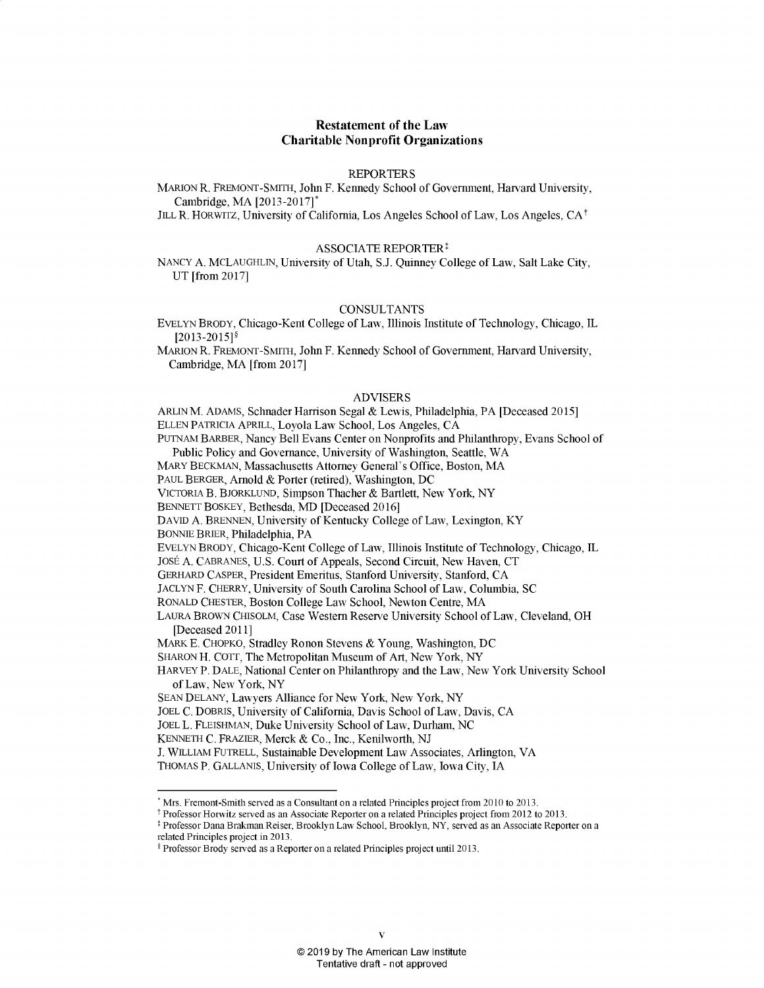# **Restatement of the Law Charitable Nonprofit Organizations**

## **REPORTERS**

MARION R. FREMONT-SMITH, John F. Kennedy School of Government, Harvard University, Cambridge, MA **[2013-2017]\***

**JILL** R. HORWITZ, University of California, Los Angeles School of Law, Los Angeles, **CAt**

#### **ASSOCIATE** REPORTER:

**NANCY A. MCLAUGHLIN,** University of Utah, **S.J.** Quinney College of Law, Salt Lake City, **UT** [from **2017]**

### **CONSULTANTS**

EVELYN BRODY, Chicago-Kent College of Law, Illinois Institute of Technology, Chicago, IL **[2013-2015]§**

**MARION** R. FREMONT-SMITH, John F. Kennedy School of Government, Harvard University, Cambridge, MA [from **2017]**

# ADVISERS

ARLINM. **ADAMS,** Schnader Harrison Segal **&** Lewis, Philadelphia, PA [Deceased *2015]*

**ELLEN** PATRICIA APRILL, Loyola Law School, Los Angeles, **CA**

**PUTNAM** BARBER, Nancy Bell Evans Center on Nonprofits and Philanthropy, Evans School of Public Policy and Governance, University of Washington, Seattle, WA

MARY **BECKMAN,** Massachusetts Attorney General's Office, Boston, MA

**PAUL** BERGER, Arnold **&** Porter (retired), Washington, **DC**

VICTORIA B. BJORKLUND, Simpson Thacher **&** Bartlett, New York, NY

**BENNETT** BOSKEY, Bethesda, **MD** [Deceased **2016]**

**DAVID A. BRENNEN,** University of Kentucky College of Law, Lexington, KY

**BONNIE** BRIER, Philadelphia, PA

**EVELYN** BRODY, Chicago-Kent College of Law, Illinois Institute of Technology, Chicago, IL

JosE **A. CABRANES, U.S.** Court of Appeals, Second Circuit, New Haven, **CT**

GERHARD CASPER, President Emeritus, Stanford University, Stanford, **CA**

**JACLYN** F. CHERRY, University of South Carolina School of Law, Columbia, **SC**

RONALD CHESTER, Boston College Law School, Newton Centre, MA

**LAURA** BROWN **CHISOLM,** Case Western Reserve University School of Law, Cleveland, OH [Deceased **2011]**

MARK **E.** CHOPKO, Stradley Ronon Stevens **&** Young, Washington, **DC**

**SHARON** H. COTT, The Metropolitan Museum of Art, New York, NY

HARVEY P. **DALE,** National Center on Philanthropy and the Law, New York University School of Law, New York, NY

**SEAN DELANY,** Lawyers Alliance for New York, New York, NY

**JOEL C.** DOBRIS, University of California, Davis School of Law, Davis, **CA**

**JOEL** L. **FLEISHMAN,** Duke University School of Law, Durham, **NC**

**KENNETH C.** FRAZIER, Merck **&** Co., Inc., Kenilworth, **NJ**

**J.** WILLIAM FUTRELL, Sustainable Development Law Associates, Arlington, VA

**THOMAS** P. **GALLANIS,** University of Iowa College of Law, Iowa City, **IA**

Professor Horwitz served as an Associate Reporter on a related Principles project from 2012 to **2013.**

Professor Dana Brakman Reiser, Brooklyn Law School, Brooklyn, NY, served as an Associate Reporter on a related Principles project in **2013.**

Mrs. Fremont-Smith served as a Consultant on a related Principles project from 2010 to **2013.**

Professor Brody served as a Reporter on a related Principles project until **2013.**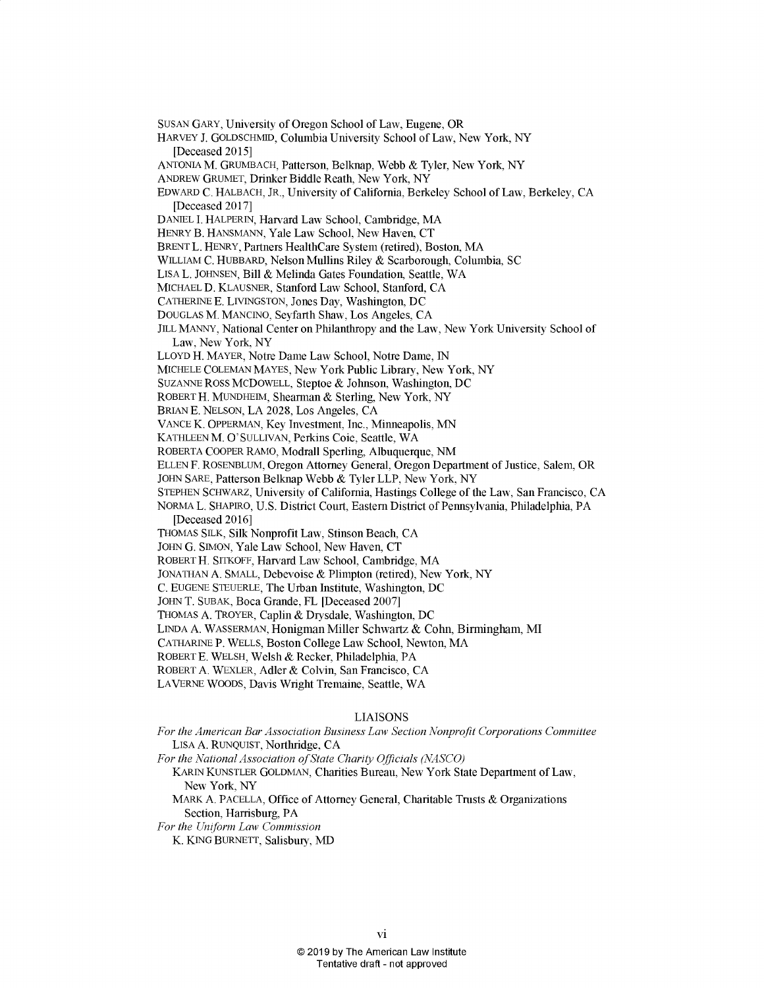**SUSAN** GARY, University **of** Oregon School of Law, Eugene, OR HARVEY **J. GOLDSCHMID,** Columbia University School of Law, New York, NY [Deceased **2015] ANTONIA** M. **GRUMBACH,** Patterson, Belknap, Webb **&** Tyler, New York, NY **ANDREW GRUMET,** Drinker Biddle Reath, New York, NY EDWARD **C.** HALBACH, JR., University of California, Berkeley School of Law, Berkeley, **CA** [Deceased **2017] DANIEL I.** HALPERIN, Harvard Law School, Cambridge, MA HENRY B. **HANSMANN,** Yale Law School, New Haven, **CT** BRENT L. HENRY, Partners HealthCare System (retired), Boston, MA WILLIAM **C.** HUBBARD, Nelson Mullins Riley **&** Scarborough, Columbia, **SC LISA** L. **JOHNSEN,** Bill **&** Melinda Gates Foundation, Seattle, WA MICHAEL **D.** KLAUSNER, Stanford Law School, Stanford, **CA CATHERINE E. LIVINGSTON,** Jones Day, Washington, **DC DOUGLAS** M. **MANCINO,** Seyfarth Shaw, Los Angeles, **CA JILL MANNY,** National Center on Philanthropy and the Law, New York University School of Law, New York, NY LLOYD H. MAYER, Notre Dame Law School, Notre Dame, **IN** MICHELE **COLEMAN** MAYES, New York Public Library, New York, **NY SUZANNE** ROSS MCDOWELL, Steptoe **&** Johnson, Washington, **DC** ROBERT H. **MUNDHEIM,** Shearman **&** Sterling, New York, NY BRIAN **E. NELSON, LA** 2028, Los Angeles, **CA VANCE** K. OPPERMAN, Key Investment, Inc., Minneapolis, **MN KATHLEEN** M. **O'SULLIVAN,** Perkins Coie, Seattle, WA ROBERTA COOPER RAMO, Modrall Sperling, Albuquerque, **NM ELLEN** F. **ROSENBLUM,** Oregon Attorney General, Oregon Department of Justice, Salem, OR **JOHN** SARE, Patterson Belknap Webb **&** Tyler LLP, New York, NY **STEPHEN** SCHWARZ, University of California, Hastings College of the Law, San Francisco, **CA** NORMA L. SHAPIRO, **U.S.** District Court, Eastern District of Pennsylvania, Philadelphia, PA [Deceased **2016] THOMAS** SILK, Silk Nonprofit Law, Stinson Beach, **CA JOHN G. SIMON,** Yale Law School, New Haven, **CT** ROBERT H. SITKOFF, Harvard Law School, Cambridge, MA **JONATHAN A. SMALL,** Debevoise **&** Plimpton (retired), New York, NY **C. EUGENE** STEUERLE, The Urban Institute, Washington, **DC JOHN** T. **SUBAK,** Boca Grande, FL [Deceased **2007] THOMAS A.** TROYER, Caplin **&** Drysdale, Washington, **DC LINDA A.** WASSERMAN, Honigman Miller Schwartz **&** Cohn, Birmingham, MI **CATHARINE** P. WELLS, Boston College Law School, Newton, MA ROBERT **E.** WELSH, Welsh **&** Recker, Philadelphia, PA ROBERT **A.** WEXLER, Adler **&** Colvin, San Francisco, **CA** LAVERNE WOODS, Davis Wright Tremaine, Seattle, WA **LIAISONS** *For the American Bar Association Business Law Section Nonprofit Corporations Committee*

**LISA A. RUNQUIST,** Northridge, **CA**

*For the National Association of State Charity Officials (NASCO)*

KARIN **KUNSTLER GOLDMAN,** Charities Bureau, New York State Department of Law, New York, NY

MARK **A. PACELLA,** Office of Attorney General, Charitable Trusts **&** Organizations Section, Harrisburg, PA

*For the Uniform Law Commission*

K. **KING BURNETT,** Salisbury, **MD**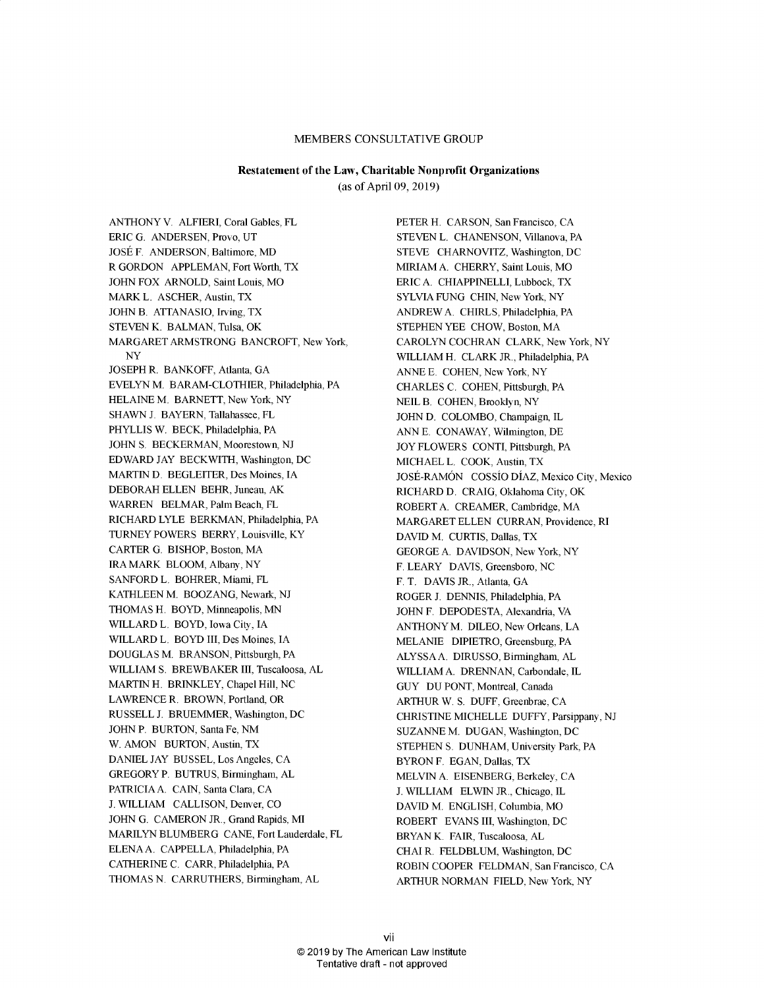# MEMBERS **CONSULTATIVE** GROUP

# Restatement of the Law, Charitable Nonprofit Organizations

(as of April **09, 2019)**

**ANTHONY** V. ALFIERI, Coral Gables, FL ERIC **G. ANDERSEN,** Provo, **UT** JOSE F. **ANDERSON,** Baltimore, MD, R GORDON **APPLEMAN,** Fort Worth, TX **JOHN** FOX ARNOLD, Saint Louis, MO MARK L. ASCHER, Austin, TX **JOHN** B. **ATTANASIO,** Irving, TX **STEVEN** K. **BALMAN,** Tulsa, OK MARGARET ARMSTRONG BANCROFT, New York, NY **JOSEPH** R. BANKOFF, Atlanta, **GA** EVELYN M. BARAM-CLOTHIER, Philadelphia, PA **HELAINE** M. BARNETT, New York, NY **SHAWN J.** BAYERN, Tallahassee, FL PHYLLIS W. BECK, Philadelphia, PA **JOHN S.** BECKERMAN, Moorestown, **NJ** EDWARD **JAY** BECKWITH, Washington, **DC** MARTIN **D.** BEGLEITER, Des Moines, **IA** DEBORAH **ELLEN** BEHR, Juneau, AK WARREN BELMAR, Palm Beach, FL RICHARD LYLE BERKMAN, Philadelphia, PA TURNEY POWERS BERRY, Louisville, KY CARTER **G.** BISHOP, Boston, MA IRA MARK BLOOM, Albany, NY **SANFORD** L. BOHRER, Miami, FL **KATHLEEN** M. **BOOZANG,** Newark, **NJ THOMAS** H. BOYD, Minneapolis, **MN** WILLARD L. BOYD, Iowa City, **IA** WILLARD L. BOYD III, Des Moines, **IA DOUGLAS** M. **BRANSON,** Pittsburgh, PA WILLIAM **S.** BREWBAKER III, Tuscaloosa, **AL** MARTIN H. BRINKLEY, Chapel Hill, **NC** LAWRENCE R. BROWN, Portland, OR **RUSSELL J.** BRUEMMER, Washington, DC **JOHN** P. BURTON, Santa Fe, **NM** W. **AMON** BURTON, Austin, TX **DANIEL JAY BUSSEL,** Los Angeles, **CA** GREGORY P. **BUTRUS,** Birmingham, **AL** PATRICIA **A. CAIN,** Santa Clara, **CA J.** WILLIAM **CALLISON,** Denver, **CO** JOHN G. CAMERON JR., Grand Rapids, MI MARILYN BLUMBERG **CANE,** Fort Lauderdale, FL **ELENA A.** CAPPELLA, Philadelphia, PA **CATHERINE C.** CARR, Philadelphia, PA **THOMAS N.** CARRUTHERS, Birmingham, **AL**

PETER H. **CARSON,** San Francisco, **CA STEVEN** L. **CHANENSON,** Villanova, PA **STEVE** CHARNOVITZ, Washington, **DC** MIRIAM **A.** CHERRY, Saint Louis, MO ERIC **A. CHIAPPINELLI,** Lubbock, TX SYLVIA **FUNG CHIN,** New York, NY ANDREW A. CHIRLS, Philadelphia, PA **STEPHEN** YEE CHOW, Boston, MA CAROLYN **COCHRAN** CLARK, New York, NY WILLIAM H. CLARK JR., Philadelphia, PA **ANNE E. COHEN,** New York, NY CHARLES **C. COHEN,** Pittsburgh, PA **NEIL** B. **COHEN,** Brooklyn, NY **JOHN D.** COLOMBO, Champaign, IL **ANN E.** CONAWAY, Wilmington, **DE** JOY FLOWERS CONTI, Pittsburgh, PA **MICHAEL** L. COOK, Austin, TX JOSE-RAMON COSSIO DIAZ, Mexico City, Mexico RICHARD **D.** CRAIG, Oklahoma City, OK ROBERTA. CREAMER, Cambridge, MA MARGARET **ELLEN** CURRAN, Providence, RI **DAVID** M. **CURTIS,** Dallas, TX **GEORGE A. DAVIDSON,** New York, NY F. LEARY **DAVIS,** Greensboro, **NC** F. T. **DAVIS** JR., Atlanta, **GA** ROGER **J. DENNIS,** Philadelphia, PA **JOHN** F. **DEPODESTA,** Alexandria, VA **ANTHONY** M. **DILEO,** New Orleans, **LA MELANIE** DIPIETRO, Greensburg, PA **ALYSSAA. DIRUSSO,** Birmingham, **AL** WILLIAM **A. DRENNAN,** Carbondale, IL **GUY DU PONT,** Montreal, Canada ARTHUR W. **S. DUFF,** Greenbrae, **CA CHRISTINE MICHELLE DUFFY,** Parsippany, **NJ SUZANNE** M. **DUGAN,** Washington, **DC STEPHEN S. DUNHAM,** University Park, PA BYRON F. **EGAN,** Dallas, TX **MELVIN A. EISENBERG,** Berkeley, **CA J.** WILLIAM **ELWIN** JR., Chicago, IL **DAVID** M. **ENGLISH,** Columbia, MO ROBERT **EVANS** III, Washington, **DC** BRYAN K. FAIR, Tuscaloosa, **AL CHAI** R. **FELDBLUM,** Washington, **DC** ROBIN COOPER **FELDMAN,** San Francisco, **CA** ARTHUR **NORMAN FIELD,** New York, NY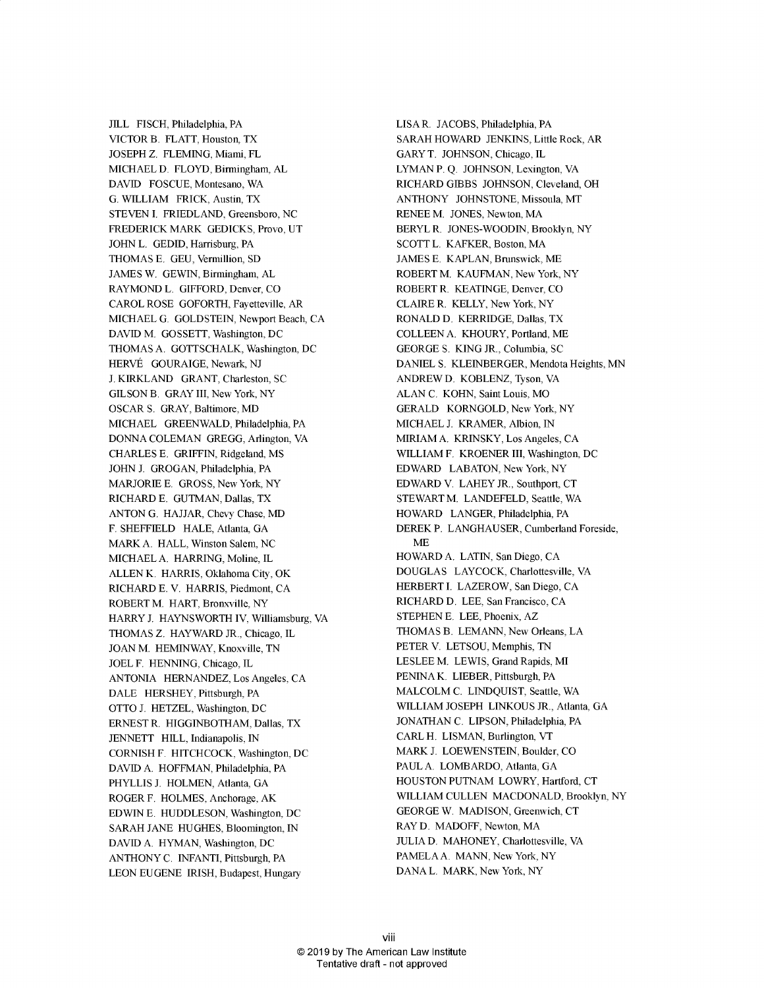**JILL FISCH,** Philadelphia, PA VICTOR B. FLATT, Houston, TX **JOSEPH Z. FLEMING,** Miami, FL **MICHAEL D.** FLOYD, Birmingham, **AL DAVID FOSCUE,** Montesano, WA **G.** WILLIAM FRICK, Austin, TX **STEVEN I.** FRIEDLAND, Greensboro, **NC** FREDERICK MARK **GEDICKS,** Provo, **UT JOHN** L. **GEDID,** Harrisburg, PA **THOMAS E. GEU,** Vermillion, **SD JAMES** W. **GEWIN,** Birmingham, **AL** RAYMOND L. GIFFORD, Denver, **CO** CAROL **ROSE** GOFORTH, Fayetteville, AR **MICHAEL G. GOLDSTEIN,** Newport Beach, **CA** DAVID M. GOSSETT, Washington, DC **THOMAS A. GOTTSCHALK,** Washington, **DC** HERVE **GOURAIGE,** Newark, **NJ J.** KIRKLAND GRANT, Charleston, **SC GILSON** B. GRAY III, New York, NY OSCAR **S.** GRAY, Baltimore, MD **MICHAEL** GREENWALD, Philadelphia, PA **DONNA COLEMAN GREGG,** Arlington, VA CHARLES **E.** GRIFFIN, Ridgeland, MS **JOHN J. GROGAN,** Philadelphia, PA MARJORIE **E. GROSS,** New York, NY RICHARD **E. GUTMAN,** Dallas, TX **ANTON G. HAJJAR,** Chevy Chase, MD, F. **SHEFFIELD HALE,** Atlanta, **GA** MARK **A.** HALL, Winston Salem, **NC MICHAEL A.** HARRING, Moline, IL **ALLEN** K. HARRIS, Oklahoma City, OK RICHARD **E.** V. HARRIS, Piedmont, **CA** ROBERT M. HART, Bronxville, NY HARRY **J.** HAYNSWORTH IV, Williamsburg, VA **THOMAS Z.** HAYWARD JR., Chicago, IL **JOAN** M. HEMINWAY, Knoxville, **TN JOEL** F. **HENNING,** Chicago, IL **ANTONIA HERNANDEZ,** Los Angeles, **CA DALE** HERSHEY, Pittsburgh, PA OTTO **J.** HETZEL, Washington, **DC ERNEST** R. **HIGGINBOTHAM,** Dallas, TX **JENNETT** HILL, Indianapolis, **IN CORNISH** F. HITCHCOCK, Washington, **DC DAVID A. HOFFMAN,** Philadelphia, PA PHYLLIS **J. HOLMEN,** Atlanta, **GA** ROGER F. **HOLMES,** Anchorage, AK **EDWIN E. HUDDLESON,** Washington, **DC** SARAH **JANE HUGHES,** Bloomington, **IN DAVID A.** HYMAN, Washington, **DC ANTHONY C. INFANTI,** Pittsburgh, PA **LEON EUGENE** IRISH, Budapest, Hungary

LISA R. **JACOBS,** Philadelphia, PA SARAH HOWARD **JENKINS,** Little Rock, AR GARY T. **JOHNSON,** Chicago, IL LYMAN P. **Q. JOHNSON,** Lexington, VA RICHARD GIBBS **JOHNSON,** Cleveland, OH **ANTHONY JOHNSTONE,** Missoula, MT **RENEE** M. **JONES,** Newton, MA BERYL R. **JONES-WOODIN,** Brooklyn, NY **SCOTT** L. KAFKER, Boston, MA **JAMES E. KAPLAN,** Brunswick, ME ROBERT M. **KAUFMAN,** New York, NY ROBERT R. **KEATINGE,** Denver, **CO** CLAIRE R. KELLY, New York, NY RONALD **D.** KERRIDGE, Dallas, TX **COLLEEN A.** KHOURY, Portland, ME **GEORGE S. KING** JR., Columbia, **SC DANIEL S.** KLEINBERGER, Mendota Heights, **MN** ANDREW **D.** KOBLENZ, Tyson, VA **ALAN C.** KOHN, Saint Louis, MO GERALD KORNGOLD, New York, NY **MICHAEL J.** KRAMER, Albion, **IN** MIRIAM **A.** KRINSKY, Los Angeles, **CA** WILLIAM F. KROENER III, Washington, **DC** EDWARD **LABATON,** New York, NY EDWARD V. LAHEY JR., Southport, **CT** STEWART M. **LANDEFELD,** Seattle, WA HOWARD **LANGER,** Philadelphia, PA DEREK P. **LANGHAUSER,** Cumberland Foreside, **ME** HOWARD **A. LATIN,** San Diego, **CA DOUGLAS** LAYCOCK, Charlottesville, VA HERBERT **I.** LAZEROW, San Diego, **CA** RICHARD **D. LEE,** San Francisco, **CA STEPHEN E. LEE,** Phoenix, AZ **THOMAS** B. **LEMANN,** New Orleans, **LA** PETER V. **LETSOU,** Memphis, **TN LESLEE** M. LEWIS, Grand Rapids, MI **PENINA** K. LIEBER, Pittsburgh, PA MALCOLM **C. LINDQUIST,** Seattle, WA WILLIAM **JOSEPH LINKOUS** JR., Atlanta, **GA JONATHAN C. LIPSON,** Philadelphia, PA CARL H. **LISMAN,** Burlington, VT MARK **J. LOEWENSTEIN,** Boulder, **CO PAUL A.** LOMBARDO, Atlanta, **GA HOUSTON PUTNAM** LOWRY, Hartford, **CT** WILLIAM **CULLEN MACDONALD,** Brooklyn, NY **GEORGE** W. **MADISON,** Greenwich, **CT** RAY **D.** MADOFF, Newton, MA **JULIA D. MAHONEY,** Charlottesville, VA **PAMELA A. MANN,** New York, NY **DANA** L. MARK, New York, NY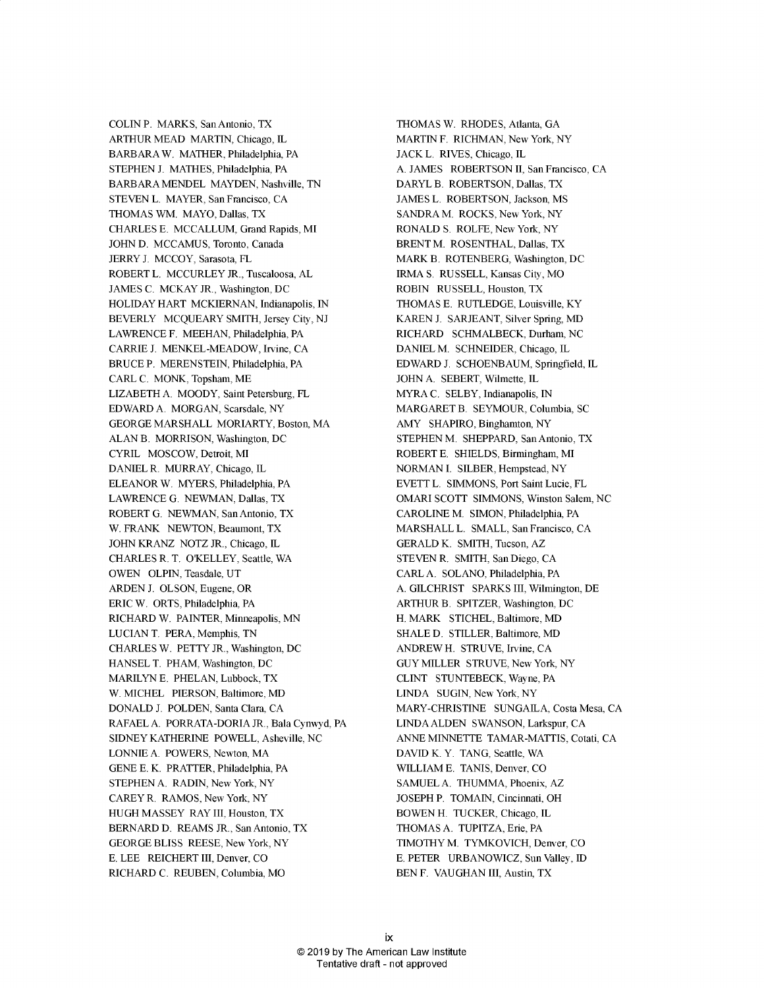**COLIN** P. MARKS, San Antonio, TX ARTHUR **MEAD** MARTIN, Chicago, IL BARBARAW. MATHER, Philadelphia, PA **STEPHEN J. MATHES,** Philadelphia, PA BARBARA **MENDEL MAYDEN,** Nashville, **TN STEVEN** L. MAYER, San Francisco, **CA THOMAS** WM. MAYO, Dallas, TX CHARLES **E. MCCALLUM,** Grand Rapids, MI **JOHN D. MCCAMUS,** Toronto, Canada JERRY **J.** MCCOY, Sarasota, FL ROBERT L. MCCURLEY JR., Tuscaloosa, **AL JAMES C.** MCKAY JR., Washington, **DC** HOLIDAY HART **MCKIERNAN,** Indianapolis, **IN** BEVERLY **MCQUEARY** SMITH, Jersey City, **NJ** LAWRENCE F. **MEEHAN,** Philadelphia, PA CARRIE **J.** MENKEL-MEADOW, Irvine, **CA** BRUCE P. **MERENSTEIN,** Philadelphia, PA CARL **C.** MONK, Topsham, ME LIZABETH **A.** MOODY, Saint Petersburg, FL EDWARD **A.** MORGAN, Scarsdale, NY **GEORGE** MARSHALL MORIARTY, Boston, MA **ALAN** B. MORRISON, Washington, **DC** CYRIL MOSCOW, Detroit, MI **DANIEL** R. MURRAY, Chicago, IL ELEANOR W. MYERS, Philadelphia, PA LAWRENCE **G. NEWMAN,** Dallas, TX ROBERT **G. NEWMAN,** San Antonio, TX W. FRANK **NEWTON,** Beaumont, TX **JOHN** KRANZ NOTZ JR., Chicago, IL CHARLES R. T. O'KELLEY, Seattle, WA **OWEN OLPIN,** Teasdale, **UT ARDEN J. OLSON,** Eugene, OR ERIC W. ORTS, Philadelphia, PA RICHARD W. PAINTER, Minneapolis, **MN LUCIAN** T. PERA, Memphis, **TN** CHARLES W. PETTY JR., Washington, **DC HANSEL** T. PHAM, Washington, **DC** MARILYN **E. PHELAN,** Lubbock, TX W. **MICHEL** PIERSON, Baltimore, MD, **DONALD J. POLDEN,** Santa Clara, **CA** RAFAEL **A.** PORRATA-DORIA JR., Bala Cynwyd, PA **SIDNEY** KATHERINE POWELL, Asheville, **NC LONNIE A.** POWERS, Newton, MA **GENE E.** K. PRATTER, Philadelphia, PA **STEPHEN A.** RADIN, New York, NY CAREY R. RAMOS, New York, NY **HUGH MASSEY** RAY III, Houston, TX BERNARD **D.** REAMS JR., San Antonio, TX **GEORGE BLISS REESE,** New York, NY **E. LEE** REICHERT III, Denver, **CO** RICHARD **C. REUBEN,** Columbia, MO

**THOMAS** W. RHODES, Atlanta, **GA** MARTIN F. RICHMAN, New York, NY **JACK** L. RIVES, Chicago, IL **A. JAMES** ROBERTSON **II,** San Francisco, **CA** DARYL B. ROBERTSON, Dallas, TX **JAMES** L. ROBERTSON, Jackson, MS **SANDRA** M. ROCKS, New York, NY RONALD **S.** ROLFE, New York, NY BRENT M. **ROSENTHAL,** Dallas, TX MARK B. ROTENBERG, Washington, **DC** IRMA **S. RUSSELL,** Kansas City, MO ROBIN **RUSSELL,** Houston, TX **THOMAS E. RUTLEDGE,** Louisville, KY KAREN **J. SARJEANT,** Silver Spring, MD RICHARD SCHMALBECK, Durham, **NC DANIEL** M. **SCHNEIDER,** Chicago, IL EDWARD **J. SCHOENBAUM,** Springfield, IL **JOHN A.** SEBERT, Wilmette, IL MYRA **C.** SELBY, Indianapolis, **IN** MARGARET B. SEYMOUR, Columbia, **SC** AMY SHAPIRO, Binghamton, NY **STEPHEN** M. SHEPPARD, San Antonio, TX ROBERT **E. SHIELDS,** Birmingham, MI **NORMAN I.** SILBER, Hempstead, NY EVETT L. **SIMMONS,** Port Saint Lucie, FL OMARI **SCOTT SIMMONS,** Winston Salem, **NC CAROLINE** M. **SIMON,** Philadelphia, PA MARSHALL L. **SMALL,** San Francisco, **CA** GERALD K. SMITH, Tucson, AZ **STEVEN** R. SMITH, San Diego, **CA** CARL **A. SOLANO,** Philadelphia, PA **A.** GILCHRIST SPARKS III, Wilmington, **DE** ARTHUR B. SPITZER, Washington, **DC** H. MARK **STICHEL,** Baltimore, MD **SHALE D.** STILLER, Baltimore, **MD** ANDREW H. **STRUVE,** Irvine, **CA GUY** MILLER **STRUVE,** New York, NY **CLINT STUNTEBECK,** Wayne, PA **LINDA SUGIN,** New York, NY MARY-CHRISTINE **SUNGAILA,** Costa Mesa, **CA LINDA ALDEN SWANSON,** Larkspur, **CA ANNE MINNETTE** TAMAR-MATTIS, Cotati, **CA DAVID** K. Y. **TANG,** Seattle, WA WILLIAM **E. TANIS,** Denver, **CO SAMUEL A. THUMMA,** Phoenix, AZ **JOSEPH** P. **TOMAIN,** Cincinnati, OH BOWEN H. TUCKER, Chicago, IL **THOMAS A. TUPITZA,** Erie, PA TIMOTHY M. TYMKOVICH, Denver, **CO E.** PETER URBANOWICZ, Sun Valley, **ID BEN** F. **VAUGHAN** III, Austin, TX